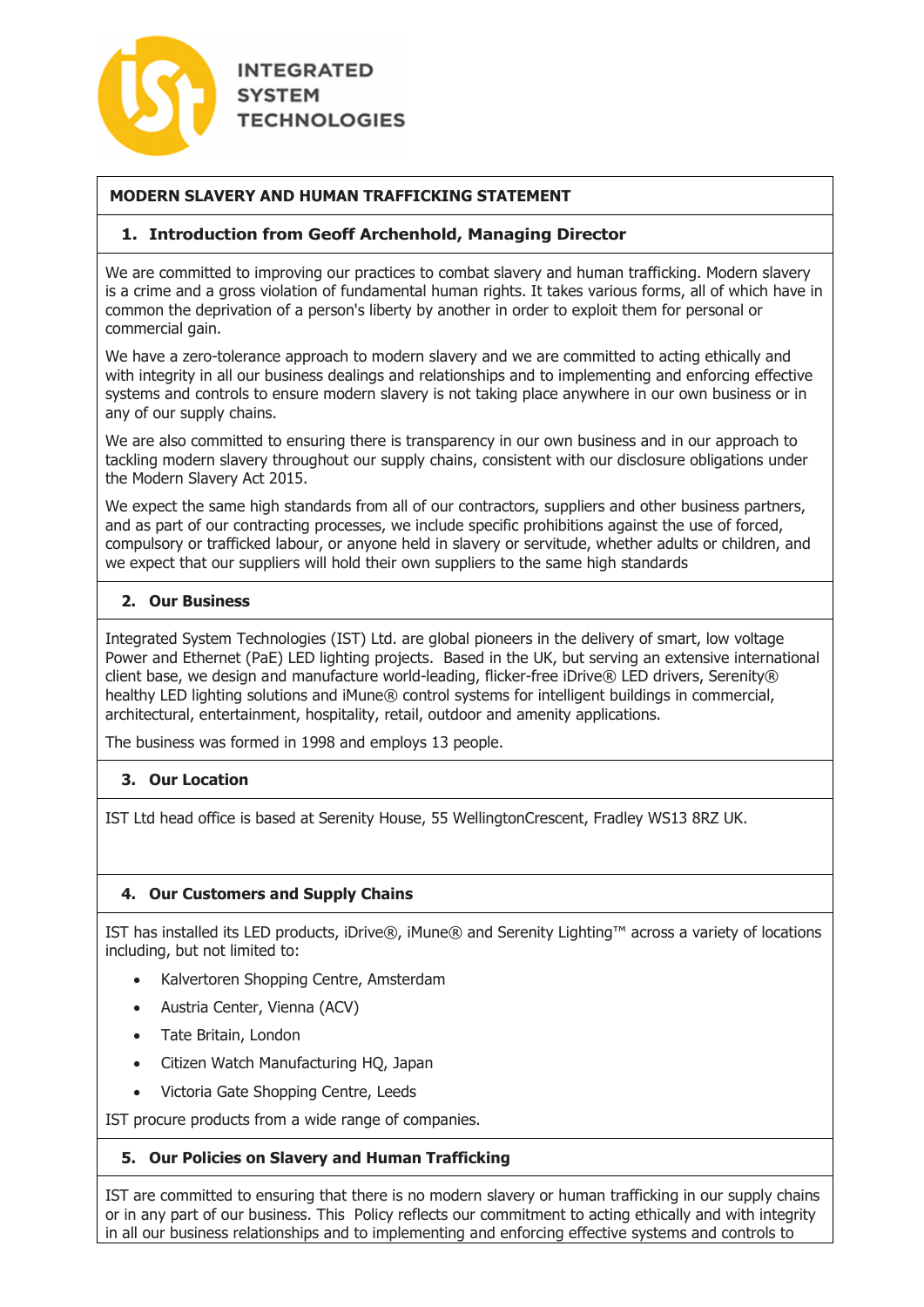

# **MODERN SLAVERY AND HUMAN TRAFFICKING STATEMENT**

#### **1. Introduction from Geoff Archenhold, Managing Director**

We are committed to improving our practices to combat slavery and human trafficking. Modern slavery is a crime and a gross violation of fundamental human rights. It takes various forms, all of which have in common the deprivation of a person's liberty by another in order to exploit them for personal or commercial gain.

We have a zero-tolerance approach to modern slavery and we are committed to acting ethically and with integrity in all our business dealings and relationships and to implementing and enforcing effective systems and controls to ensure modern slavery is not taking place anywhere in our own business or in any of our supply chains.

We are also committed to ensuring there is transparency in our own business and in our approach to tackling modern slavery throughout our supply chains, consistent with our disclosure obligations under the Modern Slavery Act 2015.

We expect the same high standards from all of our contractors, suppliers and other business partners, and as part of our contracting processes, we include specific prohibitions against the use of forced, compulsory or trafficked labour, or anyone held in slavery or servitude, whether adults or children, and we expect that our suppliers will hold their own suppliers to the same high standards

#### **2. Our Business**

Integrated System Technologies (IST) Ltd. are global pioneers in the delivery of smart, low voltage Power and Ethernet (PaE) LED lighting projects. Based in the UK, but serving an extensive international client base, we design and manufacture world-leading, flicker-free iDrive® LED drivers, Serenity® healthy LED lighting solutions and iMune® control systems for intelligent buildings in commercial, architectural, entertainment, hospitality, retail, outdoor and amenity applications.

The business was formed in 1998 and employs 13 people.

## **3. Our Location**

IST Ltd head office is based at Serenity House, 55 WellingtonCrescent, Fradley WS13 8RZ UK.

## **4. Our Customers and Supply Chains**

IST has installed its LED products, iDrive®, iMune® and Serenity Lighting™ across a variety of locations including, but not limited to:

- Kalvertoren Shopping Centre, Amsterdam
- Austria Center, Vienna (ACV)
- Tate Britain, London
- Citizen Watch Manufacturing HQ, Japan
- Victoria Gate Shopping Centre, Leeds

IST procure products from a wide range of companies.

## **5. Our Policies on Slavery and Human Trafficking**

IST are committed to ensuring that there is no modern slavery or human trafficking in our supply chains or in any part of our business. This Policy reflects our commitment to acting ethically and with integrity in all our business relationships and to implementing and enforcing effective systems and controls to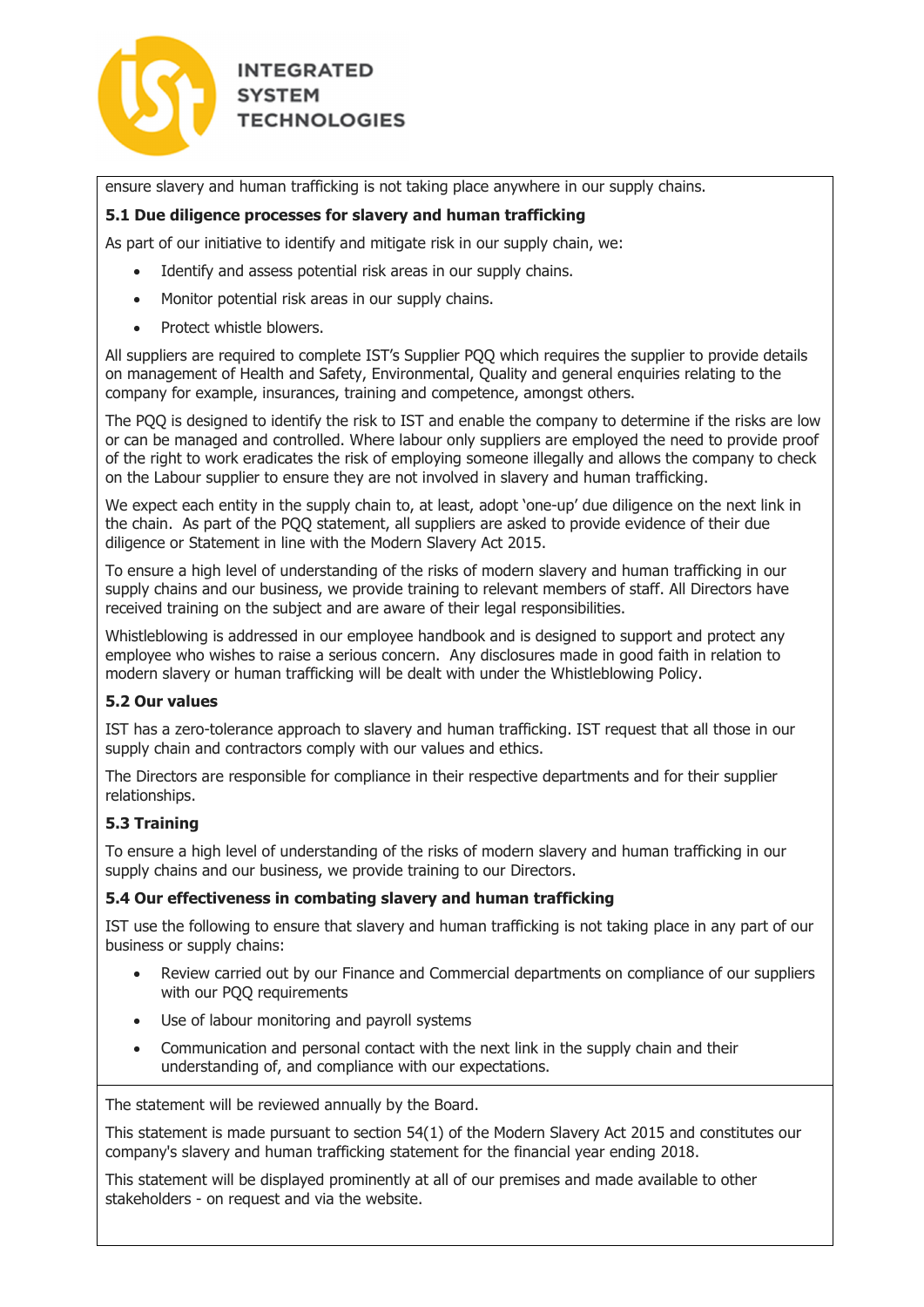

ensure slavery and human trafficking is not taking place anywhere in our supply chains.

## **5.1 Due diligence processes for slavery and human trafficking**

As part of our initiative to identify and mitigate risk in our supply chain, we:

- Identify and assess potential risk areas in our supply chains.
- Monitor potential risk areas in our supply chains.
- Protect whistle blowers.

All suppliers are required to complete IST's Supplier PQQ which requires the supplier to provide details on management of Health and Safety, Environmental, Quality and general enquiries relating to the company for example, insurances, training and competence, amongst others.

The PQQ is designed to identify the risk to IST and enable the company to determine if the risks are low or can be managed and controlled. Where labour only suppliers are employed the need to provide proof of the right to work eradicates the risk of employing someone illegally and allows the company to check on the Labour supplier to ensure they are not involved in slavery and human trafficking.

We expect each entity in the supply chain to, at least, adopt 'one-up' due diligence on the next link in the chain. As part of the PQQ statement, all suppliers are asked to provide evidence of their due diligence or Statement in line with the Modern Slavery Act 2015.

To ensure a high level of understanding of the risks of modern slavery and human trafficking in our supply chains and our business, we provide training to relevant members of staff. All Directors have received training on the subject and are aware of their legal responsibilities.

Whistleblowing is addressed in our employee handbook and is designed to support and protect any employee who wishes to raise a serious concern. Any disclosures made in good faith in relation to modern slavery or human trafficking will be dealt with under the Whistleblowing Policy.

## **5.2 Our values**

IST has a zero-tolerance approach to slavery and human trafficking. IST request that all those in our supply chain and contractors comply with our values and ethics.

The Directors are responsible for compliance in their respective departments and for their supplier relationships.

## **5.3 Training**

To ensure a high level of understanding of the risks of modern slavery and human trafficking in our supply chains and our business, we provide training to our Directors.

#### **5.4 Our effectiveness in combating slavery and human trafficking**

IST use the following to ensure that slavery and human trafficking is not taking place in any part of our business or supply chains:

- Review carried out by our Finance and Commercial departments on compliance of our suppliers with our PQQ requirements
- Use of labour monitoring and payroll systems
- Communication and personal contact with the next link in the supply chain and their understanding of, and compliance with our expectations.

The statement will be reviewed annually by the Board.

This statement is made pursuant to section 54(1) of the Modern Slavery Act 2015 and constitutes our company's slavery and human trafficking statement for the financial year ending 2018.

This statement will be displayed prominently at all of our premises and made available to other stakeholders - on request and via the website.